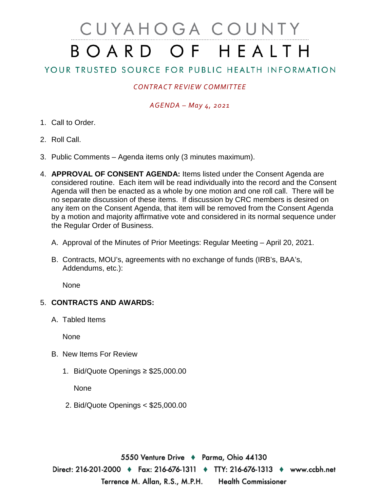# CUYAHOGA COUNTY BOARD OF HEALTH

## YOUR TRUSTED SOURCE FOR PUBLIC HEALTH INFORMATION

### *CONTRACT REVIEW COMMITTEE*

#### *AGENDA – May 4, 2021*

- 1. Call to Order.
- 2. Roll Call.
- 3. Public Comments Agenda items only (3 minutes maximum).
- 4. **APPROVAL OF CONSENT AGENDA:** Items listed under the Consent Agenda are considered routine. Each item will be read individually into the record and the Consent Agenda will then be enacted as a whole by one motion and one roll call. There will be no separate discussion of these items. If discussion by CRC members is desired on any item on the Consent Agenda, that item will be removed from the Consent Agenda by a motion and majority affirmative vote and considered in its normal sequence under the Regular Order of Business.
	- A. Approval of the Minutes of Prior Meetings: Regular Meeting April 20, 2021.
	- B. Contracts, MOU's, agreements with no exchange of funds (IRB's, BAA's, Addendums, etc.):

None

#### 5. **CONTRACTS AND AWARDS:**

A. Tabled Items

**None** 

- B. New Items For Review
	- 1. Bid/Quote Openings ≥ \$25,000.00

None

2. Bid/Quote Openings < \$25,000.00

5550 Venture Drive ♦ Parma, Ohio 44130 Direct: 216-201-2000 ♦ Fax: 216-676-1311 ♦ TTY: 216-676-1313 ♦ www.ccbh.net Terrence M. Allan, R.S., M.P.H. **Health Commissioner**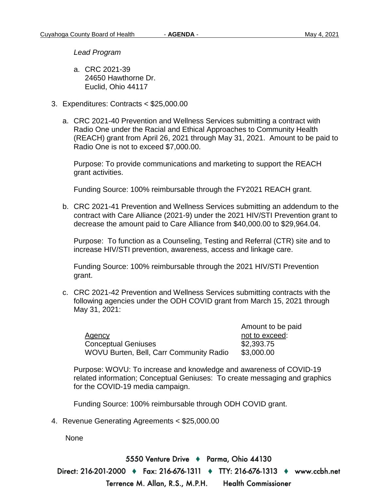*Lead Program* 

- a. CRC 2021-39 24650 Hawthorne Dr. Euclid, Ohio 44117
- 3. Expenditures: Contracts < \$25,000.00
	- a. CRC 2021-40 Prevention and Wellness Services submitting a contract with Radio One under the Racial and Ethical Approaches to Community Health (REACH) grant from April 26, 2021 through May 31, 2021. Amount to be paid to Radio One is not to exceed \$7,000.00.

Purpose: To provide communications and marketing to support the REACH grant activities.

Funding Source: 100% reimbursable through the FY2021 REACH grant.

b. CRC 2021-41 Prevention and Wellness Services submitting an addendum to the contract with Care Alliance (2021-9) under the 2021 HIV/STI Prevention grant to decrease the amount paid to Care Alliance from \$40,000.00 to \$29,964.04.

Purpose: To function as a Counseling, Testing and Referral (CTR) site and to increase HIV/STI prevention, awareness, access and linkage care.

Funding Source: 100% reimbursable through the 2021 HIV/STI Prevention grant.

c. CRC 2021-42 Prevention and Wellness Services submitting contracts with the following agencies under the ODH COVID grant from March 15, 2021 through May 31, 2021:

Amount to be paid Agency and the exceed:  $\blacksquare$ Conceptual Geniuses \$2,393.75 WOVU Burten, Bell, Carr Community Radio \$3,000.00

Purpose: WOVU: To increase and knowledge and awareness of COVID-19 related information; Conceptual Geniuses: To create messaging and graphics for the COVID-19 media campaign.

Funding Source: 100% reimbursable through ODH COVID grant.

4. Revenue Generating Agreements < \$25,000.00

None

5550 Venture Drive → Parma, Ohio 44130 Direct: 216-201-2000 ♦ Fax: 216-676-1311 ♦ TTY: 216-676-1313 ♦ www.ccbh.net Terrence M. Allan, R.S., M.P.H. **Health Commissioner**